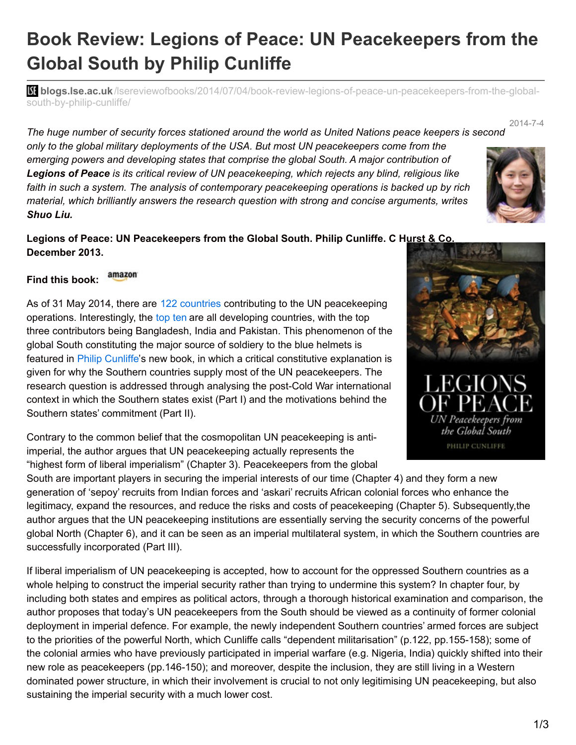## **Book Review: Legions of Peace: UN Peacekeepers from the Global South by Philip Cunliffe**

**bliogs.lse.ac.uk**[/lsereviewofbooks/2014/07/04/book-review-legions-of-peace-un-peacekeepers-from-the-global](http://blogs.lse.ac.uk/lsereviewofbooks/2014/07/04/book-review-legions-of-peace-un-peacekeepers-from-the-global-south-by-philip-cunliffe/)south-by-philip-cunliffe/

2014-7-4 *The huge number of security forces stationed around the world as United Nations peace keepers is second*

*only to the global military deployments of the USA. But most UN peacekeepers come from the emerging powers and developing states that comprise the global South. A major contribution of Legions of Peace is its critical review of UN peacekeeping, which rejects any blind, religious like faith in such a system. The analysis of contemporary peacekeeping operations is backed up by rich material, which brilliantly answers the research question with strong and concise arguments, writes Shuo Liu.*

**Legions of Peace: UN Peacekeepers from the Global South. Philip Cunliffe. C Hurst & Co. December 2013.**

## amazon **Find this book:**

As of 31 May 2014, there are 122 [countries](http://www.un.org/en/peacekeeping/contributors/2014/may14_1.pdf) contributing to the UN peacekeeping operations. Interestingly, the [top](http://www.un.org/en/peacekeeping/contributors/2014/may14_2.pdf) ten are all developing countries, with the top three contributors being Bangladesh, India and Pakistan. This phenomenon of the global South constituting the major source of soldiery to the blue helmets is featured in Philip [Cunliffe](http://www.kent.ac.uk/politics/about-us/staff/members/cunliffe.html)'s new book, in which a critical constitutive explanation is given for why the Southern countries supply most of the UN peacekeepers. The research question is addressed through analysing the post-Cold War international context in which the Southern states exist (Part I) and the motivations behind the Southern states' commitment (Part II).

Contrary to the common belief that the cosmopolitan UN peacekeeping is antiimperial, the author argues that UN peacekeeping actually represents the "highest form of liberal imperialism" (Chapter 3). Peacekeepers from the global

South are important players in securing the imperial interests of our time (Chapter 4) and they form a new generation of 'sepoy' recruits from Indian forces and 'askari' recruits African colonial forces who enhance the legitimacy, expand the resources, and reduce the risks and costs of peacekeeping (Chapter 5). Subsequently,the author argues that the UN peacekeeping institutions are essentially serving the security concerns of the powerful global North (Chapter 6), and it can be seen as an imperial multilateral system, in which the Southern countries are successfully incorporated (Part III).

If liberal imperialism of UN peacekeeping is accepted, how to account for the oppressed Southern countries as a whole helping to construct the imperial security rather than trying to undermine this system? In chapter four, by including both states and empires as political actors, through a thorough historical examination and comparison, the author proposes that today's UN peacekeepers from the South should be viewed as a continuity of former colonial deployment in imperial defence. For example, the newly independent Southern countries' armed forces are subject to the priorities of the powerful North, which Cunliffe calls "dependent militarisation" (p.122, pp.155-158); some of the colonial armies who have previously participated in imperial warfare (e.g. Nigeria, India) quickly shifted into their new role as peacekeepers (pp.146-150); and moreover, despite the inclusion, they are still living in a Western dominated power structure, in which their involvement is crucial to not only legitimising UN peacekeeping, but also sustaining the imperial security with a much lower cost.



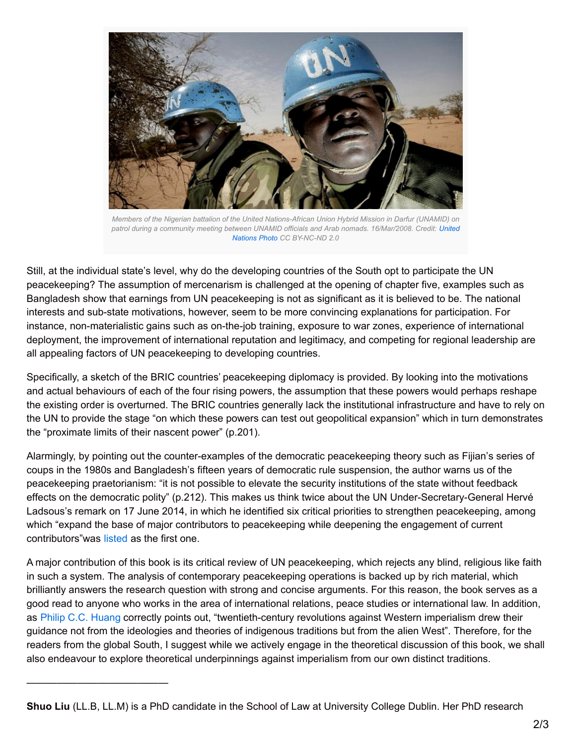

*Members of the Nigerian battalion of the United Nations-African Union Hybrid Mission in Darfur (UNAMID) on patrol during a community meeting between UNAMID officials and Arab nomads. [16/Mar/2008.](https://www.flickr.com/photos/un_photo/3332074664) Credit: United Nations Photo CC BY-NC-ND 2.0*

Still, at the individual state's level, why do the developing countries of the South opt to participate the UN peacekeeping? The assumption of mercenarism is challenged at the opening of chapter five, examples such as Bangladesh show that earnings from UN peacekeeping is not as significant as it is believed to be. The national interests and sub-state motivations, however, seem to be more convincing explanations for participation. For instance, non-materialistic gains such as on-the-job training, exposure to war zones, experience of international deployment, the improvement of international reputation and legitimacy, and competing for regional leadership are all appealing factors of UN peacekeeping to developing countries.

Specifically, a sketch of the BRIC countries' peacekeeping diplomacy is provided. By looking into the motivations and actual behaviours of each of the four rising powers, the assumption that these powers would perhaps reshape the existing order is overturned. The BRIC countries generally lack the institutional infrastructure and have to rely on the UN to provide the stage "on which these powers can test out geopolitical expansion" which in turn demonstrates the "proximate limits of their nascent power" (p.201).

Alarmingly, by pointing out the counter-examples of the democratic peacekeeping theory such as Fijian's series of coups in the 1980s and Bangladesh's fifteen years of democratic rule suspension, the author warns us of the peacekeeping praetorianism: "it is not possible to elevate the security institutions of the state without feedback effects on the democratic polity" (p.212). This makes us think twice about the UN Under-Secretary-General Hervé Ladsous's remark on 17 June 2014, in which he identified six critical priorities to strengthen peacekeeping, among which "expand the base of major contributors to peacekeeping while deepening the engagement of current contributors"was [listed](http://www.un.org/en/peacekeeping/documents/HL-remarks-brookings.pdf) as the first one.

A major contribution of this book is its critical review of UN peacekeeping, which rejects any blind, religious like faith in such a system. The analysis of contemporary peacekeeping operations is backed up by rich material, which brilliantly answers the research question with strong and concise arguments. For this reason, the book serves as a good read to anyone who works in the area of international relations, peace studies or international law. In addition, as Philip C.C. [Huang](http://www.jstor.org/stable/189416) correctly points out, "twentieth-century revolutions against Western imperialism drew their guidance not from the ideologies and theories of indigenous traditions but from the alien West". Therefore, for the readers from the global South, I suggest while we actively engage in the theoretical discussion of this book, we shall also endeavour to explore theoretical underpinnings against imperialism from our own distinct traditions.

——————————————

**Shuo Liu** (LL.B, LL.M) is a PhD candidate in the School of Law at University College Dublin. Her PhD research